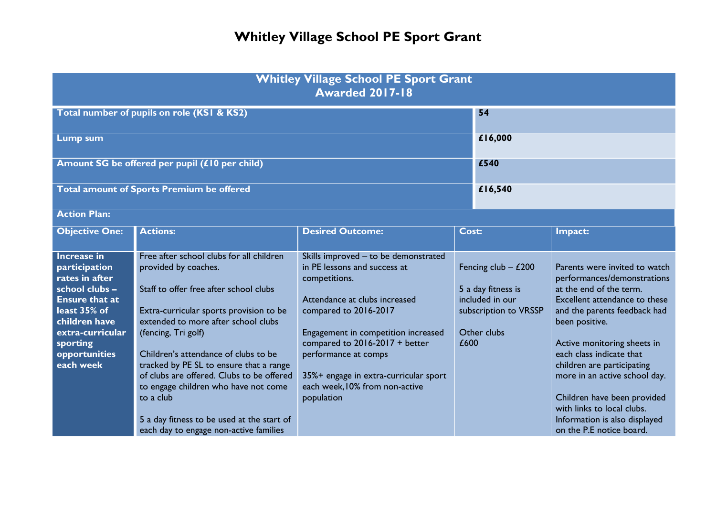| <b>Whitley Village School PE Sport Grant</b><br><b>Awarded 2017-18</b>                                                                                                                          |                                                                                                                                                                                                                                                                                                                                                                                                                                                                                                  |                                                                                                                                                                                                                                                                                                                                             |       |                                                                                                        |                                                                                                                                                                                                                                                                                                                                                                                                                                |  |
|-------------------------------------------------------------------------------------------------------------------------------------------------------------------------------------------------|--------------------------------------------------------------------------------------------------------------------------------------------------------------------------------------------------------------------------------------------------------------------------------------------------------------------------------------------------------------------------------------------------------------------------------------------------------------------------------------------------|---------------------------------------------------------------------------------------------------------------------------------------------------------------------------------------------------------------------------------------------------------------------------------------------------------------------------------------------|-------|--------------------------------------------------------------------------------------------------------|--------------------------------------------------------------------------------------------------------------------------------------------------------------------------------------------------------------------------------------------------------------------------------------------------------------------------------------------------------------------------------------------------------------------------------|--|
| Total number of pupils on role (KSI & KS2)                                                                                                                                                      |                                                                                                                                                                                                                                                                                                                                                                                                                                                                                                  |                                                                                                                                                                                                                                                                                                                                             |       | 54                                                                                                     |                                                                                                                                                                                                                                                                                                                                                                                                                                |  |
| <b>Lump sum</b>                                                                                                                                                                                 |                                                                                                                                                                                                                                                                                                                                                                                                                                                                                                  |                                                                                                                                                                                                                                                                                                                                             |       | £16,000                                                                                                |                                                                                                                                                                                                                                                                                                                                                                                                                                |  |
| Amount SG be offered per pupil (£10 per child)                                                                                                                                                  |                                                                                                                                                                                                                                                                                                                                                                                                                                                                                                  |                                                                                                                                                                                                                                                                                                                                             |       | £540                                                                                                   |                                                                                                                                                                                                                                                                                                                                                                                                                                |  |
| Total amount of Sports Premium be offered                                                                                                                                                       |                                                                                                                                                                                                                                                                                                                                                                                                                                                                                                  |                                                                                                                                                                                                                                                                                                                                             |       | £16,540                                                                                                |                                                                                                                                                                                                                                                                                                                                                                                                                                |  |
| <b>Action Plan:</b>                                                                                                                                                                             |                                                                                                                                                                                                                                                                                                                                                                                                                                                                                                  |                                                                                                                                                                                                                                                                                                                                             |       |                                                                                                        |                                                                                                                                                                                                                                                                                                                                                                                                                                |  |
| <b>Objective One:</b>                                                                                                                                                                           | <b>Actions:</b>                                                                                                                                                                                                                                                                                                                                                                                                                                                                                  | <b>Desired Outcome:</b>                                                                                                                                                                                                                                                                                                                     | Cost: |                                                                                                        | Impact:                                                                                                                                                                                                                                                                                                                                                                                                                        |  |
| <b>Increase in</b><br>participation<br>rates in after<br>school clubs -<br><b>Ensure that at</b><br>least 35% of<br>children have<br>extra-curricular<br>sporting<br>opportunities<br>each week | Free after school clubs for all children<br>provided by coaches.<br>Staff to offer free after school clubs<br>Extra-curricular sports provision to be<br>extended to more after school clubs<br>(fencing, Tri golf)<br>Children's attendance of clubs to be<br>tracked by PE SL to ensure that a range<br>of clubs are offered. Clubs to be offered<br>to engage children who have not come<br>to a club<br>5 a day fitness to be used at the start of<br>each day to engage non-active families | Skills improved - to be demonstrated<br>in PE lessons and success at<br>competitions.<br>Attendance at clubs increased<br>compared to 2016-2017<br>Engagement in competition increased<br>compared to $2016-2017 + better$<br>performance at comps<br>35%+ engage in extra-curricular sport<br>each week, 10% from non-active<br>population | £600  | Fencing club $-$ £200<br>5 a day fitness is<br>included in our<br>subscription to VRSSP<br>Other clubs | Parents were invited to watch<br>performances/demonstrations<br>at the end of the term.<br>Excellent attendance to these<br>and the parents feedback had<br>been positive.<br>Active monitoring sheets in<br>each class indicate that<br>children are participating<br>more in an active school day.<br>Children have been provided<br>with links to local clubs.<br>Information is also displayed<br>on the P.E notice board. |  |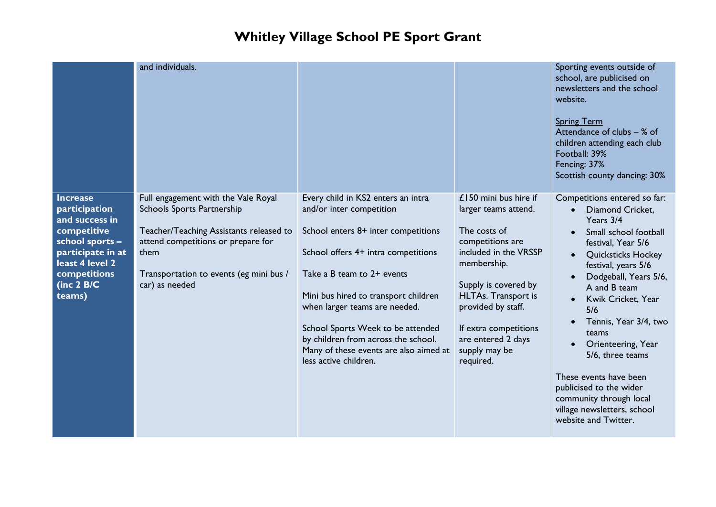|                                                                                                                                                                        | and individuals.                                                                                                                                                                                                        |                                                                                                                                                                                                                                                                                                                                                                                                    |                                                                                                                                                                                                                                                                                    | Sporting events outside of<br>school, are publicised on<br>newsletters and the school<br>website.<br><b>Spring Term</b><br>Attendance of clubs $-$ % of<br>children attending each club<br>Football: 39%<br>Fencing: 37%<br>Scottish county dancing: 30%                                                                                                                                                                                                               |
|------------------------------------------------------------------------------------------------------------------------------------------------------------------------|-------------------------------------------------------------------------------------------------------------------------------------------------------------------------------------------------------------------------|----------------------------------------------------------------------------------------------------------------------------------------------------------------------------------------------------------------------------------------------------------------------------------------------------------------------------------------------------------------------------------------------------|------------------------------------------------------------------------------------------------------------------------------------------------------------------------------------------------------------------------------------------------------------------------------------|------------------------------------------------------------------------------------------------------------------------------------------------------------------------------------------------------------------------------------------------------------------------------------------------------------------------------------------------------------------------------------------------------------------------------------------------------------------------|
| <b>Increase</b><br>participation<br>and success in<br>competitive<br>school sports -<br>participate in at<br>least 4 level 2<br>competitions<br>(inc $2$ B/C<br>teams) | Full engagement with the Vale Royal<br>Schools Sports Partnership<br>Teacher/Teaching Assistants released to<br>attend competitions or prepare for<br>them<br>Transportation to events (eg mini bus /<br>car) as needed | Every child in KS2 enters an intra<br>and/or inter competition<br>School enters 8+ inter competitions<br>School offers 4+ intra competitions<br>Take a B team to 2+ events<br>Mini bus hired to transport children<br>when larger teams are needed.<br>School Sports Week to be attended<br>by children from across the school.<br>Many of these events are also aimed at<br>less active children. | £150 mini bus hire if<br>larger teams attend.<br>The costs of<br>competitions are<br>included in the VRSSP<br>membership.<br>Supply is covered by<br><b>HLTAs.</b> Transport is<br>provided by staff.<br>If extra competitions<br>are entered 2 days<br>supply may be<br>required. | Competitions entered so far:<br>Diamond Cricket,<br>$\bullet$<br>Years 3/4<br>Small school football<br>festival, Year 5/6<br><b>Quicksticks Hockey</b><br>festival, years 5/6<br>Dodgeball, Years 5/6,<br>A and B team<br>Kwik Cricket, Year<br>5/6<br>Tennis, Year 3/4, two<br>teams<br>Orienteering, Year<br>5/6, three teams<br>These events have been<br>publicised to the wider<br>community through local<br>village newsletters, school<br>website and Twitter. |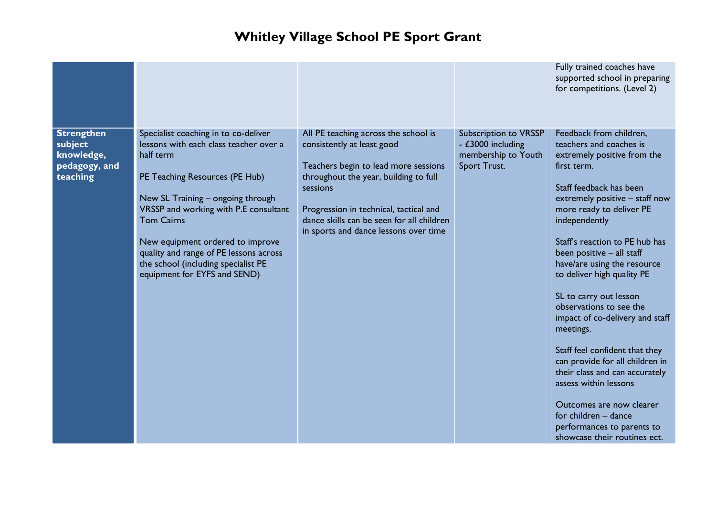|                                                                         |                                                                                                                                                                                                                                                                                                                                                                                       |                                                                                                                                                                                                                                                                                                 |                                                                                          | Fully trained coaches have<br>supported school in preparing<br>for competitions. (Level 2)                                                                                                                                                                                                                                                                                                                                                                                                                                                                                                                                                                                                    |
|-------------------------------------------------------------------------|---------------------------------------------------------------------------------------------------------------------------------------------------------------------------------------------------------------------------------------------------------------------------------------------------------------------------------------------------------------------------------------|-------------------------------------------------------------------------------------------------------------------------------------------------------------------------------------------------------------------------------------------------------------------------------------------------|------------------------------------------------------------------------------------------|-----------------------------------------------------------------------------------------------------------------------------------------------------------------------------------------------------------------------------------------------------------------------------------------------------------------------------------------------------------------------------------------------------------------------------------------------------------------------------------------------------------------------------------------------------------------------------------------------------------------------------------------------------------------------------------------------|
| <b>Strengthen</b><br>subject<br>knowledge,<br>pedagogy, and<br>teaching | Specialist coaching in to co-deliver<br>lessons with each class teacher over a<br>half term<br>PE Teaching Resources (PE Hub)<br>New SL Training - ongoing through<br>VRSSP and working with P.E consultant<br><b>Tom Cairns</b><br>New equipment ordered to improve<br>quality and range of PE lessons across<br>the school (including specialist PE<br>equipment for EYFS and SEND) | All PE teaching across the school is<br>consistently at least good<br>Teachers begin to lead more sessions<br>throughout the year, building to full<br>sessions<br>Progression in technical, tactical and<br>dance skills can be seen for all children<br>in sports and dance lessons over time | <b>Subscription to VRSSP</b><br>- £3000 including<br>membership to Youth<br>Sport Trust. | Feedback from children,<br>teachers and coaches is<br>extremely positive from the<br>first term.<br>Staff feedback has been<br>extremely positive - staff now<br>more ready to deliver PE<br>independently<br>Staff's reaction to PE hub has<br>been positive - all staff<br>have/are using the resource<br>to deliver high quality PE<br>SL to carry out lesson<br>observations to see the<br>impact of co-delivery and staff<br>meetings.<br>Staff feel confident that they<br>can provide for all children in<br>their class and can accurately<br>assess within lessons<br>Outcomes are now clearer<br>for children - dance<br>performances to parents to<br>showcase their routines ect. |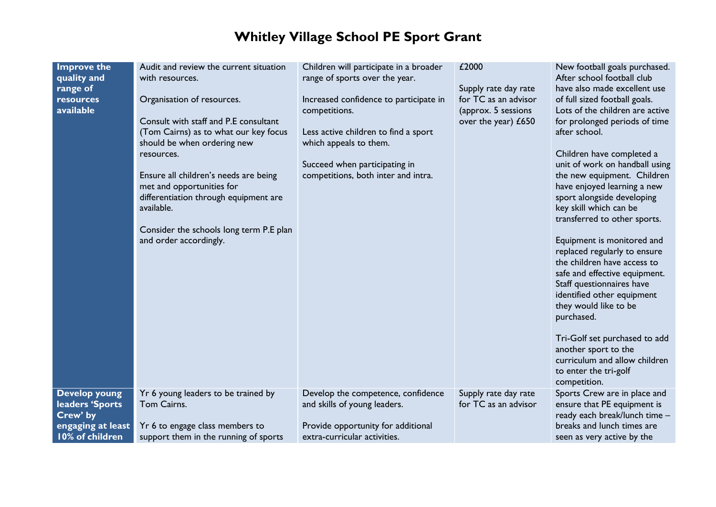| <b>Improve the</b><br>quality and<br>range of<br>resources<br>available                     | Audit and review the current situation<br>with resources.<br>Organisation of resources.<br>Consult with staff and P.E consultant<br>(Tom Cairns) as to what our key focus<br>should be when ordering new<br>resources.<br>Ensure all children's needs are being<br>met and opportunities for<br>differentiation through equipment are<br>available. | Children will participate in a broader<br>range of sports over the year.<br>Increased confidence to participate in<br>competitions.<br>Less active children to find a sport<br>which appeals to them.<br>Succeed when participating in<br>competitions, both inter and intra. | £2000<br>Supply rate day rate<br>for TC as an advisor<br>(approx. 5 sessions<br>over the year) £650 | New football goals purchased.<br>After school football club<br>have also made excellent use<br>of full sized football goals.<br>Lots of the children are active<br>for prolonged periods of time<br>after school.<br>Children have completed a<br>unit of work on handball using<br>the new equipment. Children<br>have enjoyed learning a new<br>sport alongside developing<br>key skill which can be |
|---------------------------------------------------------------------------------------------|-----------------------------------------------------------------------------------------------------------------------------------------------------------------------------------------------------------------------------------------------------------------------------------------------------------------------------------------------------|-------------------------------------------------------------------------------------------------------------------------------------------------------------------------------------------------------------------------------------------------------------------------------|-----------------------------------------------------------------------------------------------------|--------------------------------------------------------------------------------------------------------------------------------------------------------------------------------------------------------------------------------------------------------------------------------------------------------------------------------------------------------------------------------------------------------|
|                                                                                             | Consider the schools long term P.E plan<br>and order accordingly.                                                                                                                                                                                                                                                                                   |                                                                                                                                                                                                                                                                               |                                                                                                     | Equipment is monitored and<br>replaced regularly to ensure<br>the children have access to<br>safe and effective equipment.<br>Staff questionnaires have<br>identified other equipment<br>they would like to be<br>purchased.<br>Tri-Golf set purchased to add<br>another sport to the<br>curriculum and allow children<br>to enter the tri-golf<br>competition.                                        |
| <b>Develop young</b><br>leaders 'Sports<br>Crew' by<br>engaging at least<br>10% of children | Yr 6 young leaders to be trained by<br>Tom Cairns.<br>Yr 6 to engage class members to<br>support them in the running of sports                                                                                                                                                                                                                      | Develop the competence, confidence<br>and skills of young leaders.<br>Provide opportunity for additional<br>extra-curricular activities.                                                                                                                                      | Supply rate day rate<br>for TC as an advisor                                                        | Sports Crew are in place and<br>ensure that PE equipment is<br>ready each break/lunch time -<br>breaks and lunch times are<br>seen as very active by the                                                                                                                                                                                                                                               |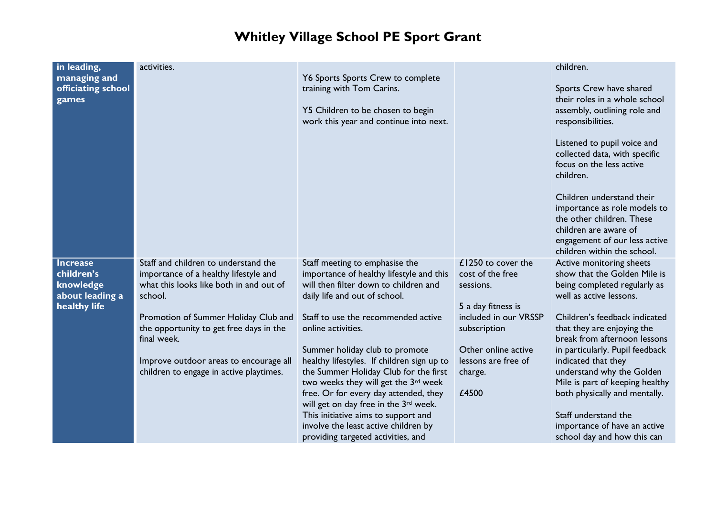| in leading,        | activities.                                                                     |                                                                              |                                             | children.                                          |
|--------------------|---------------------------------------------------------------------------------|------------------------------------------------------------------------------|---------------------------------------------|----------------------------------------------------|
| managing and       |                                                                                 | Y6 Sports Sports Crew to complete                                            |                                             |                                                    |
| officiating school |                                                                                 | training with Tom Carins.                                                    |                                             | Sports Crew have shared                            |
| games              |                                                                                 |                                                                              |                                             | their roles in a whole school                      |
|                    |                                                                                 | Y5 Children to be chosen to begin                                            |                                             | assembly, outlining role and                       |
|                    |                                                                                 | work this year and continue into next.                                       |                                             | responsibilities.                                  |
|                    |                                                                                 |                                                                              |                                             | Listened to pupil voice and                        |
|                    |                                                                                 |                                                                              |                                             | collected data, with specific                      |
|                    |                                                                                 |                                                                              |                                             | focus on the less active                           |
|                    |                                                                                 |                                                                              |                                             | children.                                          |
|                    |                                                                                 |                                                                              |                                             |                                                    |
|                    |                                                                                 |                                                                              |                                             | Children understand their                          |
|                    |                                                                                 |                                                                              |                                             | importance as role models to                       |
|                    |                                                                                 |                                                                              |                                             | the other children. These<br>children are aware of |
|                    |                                                                                 |                                                                              |                                             | engagement of our less active                      |
|                    |                                                                                 |                                                                              |                                             | children within the school.                        |
| <b>Increase</b>    | Staff and children to understand the                                            | Staff meeting to emphasise the                                               | £1250 to cover the                          | Active monitoring sheets                           |
| children's         | importance of a healthy lifestyle and                                           | importance of healthy lifestyle and this                                     | cost of the free                            | show that the Golden Mile is                       |
| knowledge          | what this looks like both in and out of                                         | will then filter down to children and                                        | sessions.                                   | being completed regularly as                       |
| about leading a    | school.                                                                         | daily life and out of school.                                                |                                             | well as active lessons.                            |
| healthy life       |                                                                                 | Staff to use the recommended active                                          | 5 a day fitness is<br>included in our VRSSP | Children's feedback indicated                      |
|                    | Promotion of Summer Holiday Club and<br>the opportunity to get free days in the | online activities.                                                           | subscription                                | that they are enjoying the                         |
|                    | final week.                                                                     |                                                                              |                                             | break from afternoon lessons                       |
|                    |                                                                                 | Summer holiday club to promote                                               | Other online active                         | in particularly. Pupil feedback                    |
|                    | Improve outdoor areas to encourage all                                          | healthy lifestyles. If children sign up to                                   | lessons are free of                         | indicated that they                                |
|                    | children to engage in active playtimes.                                         | the Summer Holiday Club for the first                                        | charge.                                     | understand why the Golden                          |
|                    |                                                                                 | two weeks they will get the 3rd week                                         |                                             | Mile is part of keeping healthy                    |
|                    |                                                                                 | free. Or for every day attended, they                                        | £4500                                       | both physically and mentally.                      |
|                    |                                                                                 | will get on day free in the 3rd week.<br>This initiative aims to support and |                                             | Staff understand the                               |
|                    |                                                                                 | involve the least active children by                                         |                                             | importance of have an active                       |
|                    |                                                                                 | providing targeted activities, and                                           |                                             | school day and how this can                        |